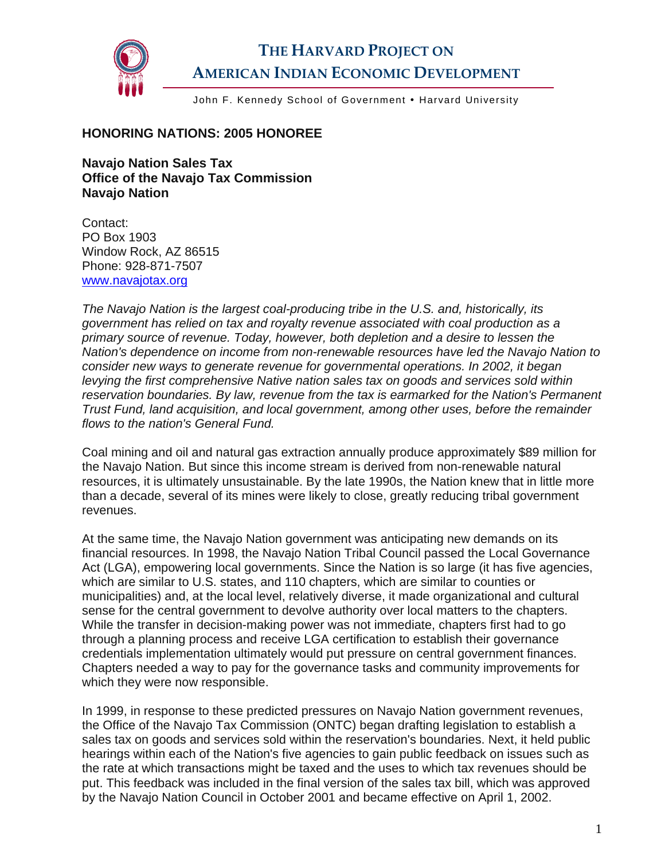

## **THE HARVARD PROJECT ON AMERICAN INDIAN ECONOMIC DEVELOPMENT**

John F. Kennedy School of Government . Harvard University

## **HONORING NATIONS: 2005 HONOREE**

**Navajo Nation Sales Tax Office of the Navajo Tax Commission Navajo Nation** 

Contact: PO Box 1903 Window Rock, AZ 86515 Phone: 928-871-7507 [www.navajotax.org](http://www.navajotax.org/) 

*The Navajo Nation is the largest coal-producing tribe in the U.S. and, historically, its government has relied on tax and royalty revenue associated with coal production as a primary source of revenue. Today, however, both depletion and a desire to lessen the Nation's dependence on income from non-renewable resources have led the Navajo Nation to consider new ways to generate revenue for governmental operations. In 2002, it began levying the first comprehensive Native nation sales tax on goods and services sold within reservation boundaries. By law, revenue from the tax is earmarked for the Nation's Permanent Trust Fund, land acquisition, and local government, among other uses, before the remainder flows to the nation's General Fund.* 

Coal mining and oil and natural gas extraction annually produce approximately \$89 million for the Navajo Nation. But since this income stream is derived from non-renewable natural resources, it is ultimately unsustainable. By the late 1990s, the Nation knew that in little more than a decade, several of its mines were likely to close, greatly reducing tribal government revenues.

At the same time, the Navajo Nation government was anticipating new demands on its financial resources. In 1998, the Navajo Nation Tribal Council passed the Local Governance Act (LGA), empowering local governments. Since the Nation is so large (it has five agencies, which are similar to U.S. states, and 110 chapters, which are similar to counties or municipalities) and, at the local level, relatively diverse, it made organizational and cultural sense for the central government to devolve authority over local matters to the chapters. While the transfer in decision-making power was not immediate, chapters first had to go through a planning process and receive LGA certification to establish their governance credentials implementation ultimately would put pressure on central government finances. Chapters needed a way to pay for the governance tasks and community improvements for which they were now responsible.

In 1999, in response to these predicted pressures on Navajo Nation government revenues, the Office of the Navajo Tax Commission (ONTC) began drafting legislation to establish a sales tax on goods and services sold within the reservation's boundaries. Next, it held public hearings within each of the Nation's five agencies to gain public feedback on issues such as the rate at which transactions might be taxed and the uses to which tax revenues should be put. This feedback was included in the final version of the sales tax bill, which was approved by the Navajo Nation Council in October 2001 and became effective on April 1, 2002.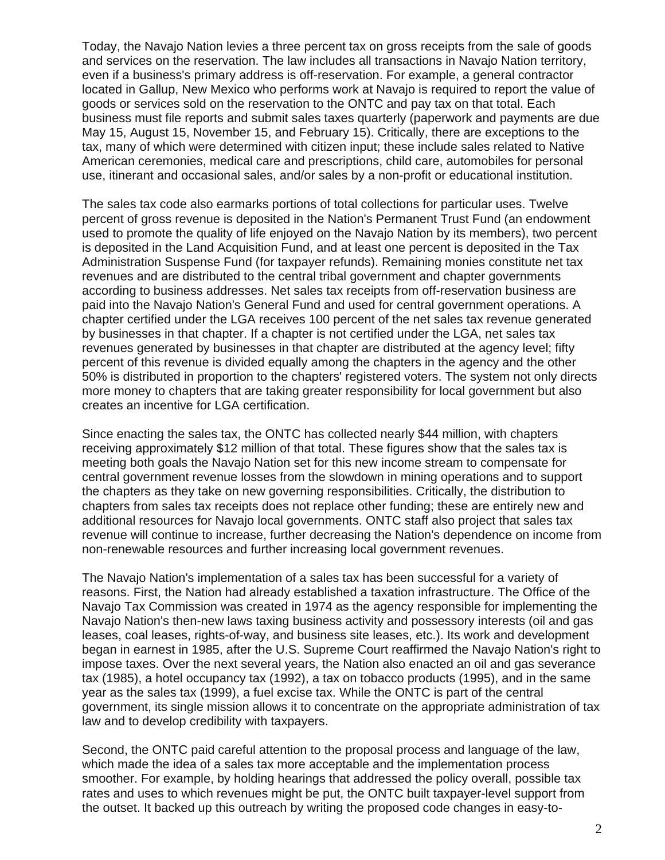Today, the Navajo Nation levies a three percent tax on gross receipts from the sale of goods and services on the reservation. The law includes all transactions in Navajo Nation territory, even if a business's primary address is off-reservation. For example, a general contractor located in Gallup, New Mexico who performs work at Navajo is required to report the value of goods or services sold on the reservation to the ONTC and pay tax on that total. Each business must file reports and submit sales taxes quarterly (paperwork and payments are due May 15, August 15, November 15, and February 15). Critically, there are exceptions to the tax, many of which were determined with citizen input; these include sales related to Native American ceremonies, medical care and prescriptions, child care, automobiles for personal use, itinerant and occasional sales, and/or sales by a non-profit or educational institution.

The sales tax code also earmarks portions of total collections for particular uses. Twelve percent of gross revenue is deposited in the Nation's Permanent Trust Fund (an endowment used to promote the quality of life enjoyed on the Navajo Nation by its members), two percent is deposited in the Land Acquisition Fund, and at least one percent is deposited in the Tax Administration Suspense Fund (for taxpayer refunds). Remaining monies constitute net tax revenues and are distributed to the central tribal government and chapter governments according to business addresses. Net sales tax receipts from off-reservation business are paid into the Navajo Nation's General Fund and used for central government operations. A chapter certified under the LGA receives 100 percent of the net sales tax revenue generated by businesses in that chapter. If a chapter is not certified under the LGA, net sales tax revenues generated by businesses in that chapter are distributed at the agency level; fifty percent of this revenue is divided equally among the chapters in the agency and the other 50% is distributed in proportion to the chapters' registered voters. The system not only directs more money to chapters that are taking greater responsibility for local government but also creates an incentive for LGA certification.

Since enacting the sales tax, the ONTC has collected nearly \$44 million, with chapters receiving approximately \$12 million of that total. These figures show that the sales tax is meeting both goals the Navajo Nation set for this new income stream to compensate for central government revenue losses from the slowdown in mining operations and to support the chapters as they take on new governing responsibilities. Critically, the distribution to chapters from sales tax receipts does not replace other funding; these are entirely new and additional resources for Navajo local governments. ONTC staff also project that sales tax revenue will continue to increase, further decreasing the Nation's dependence on income from non-renewable resources and further increasing local government revenues.

The Navajo Nation's implementation of a sales tax has been successful for a variety of reasons. First, the Nation had already established a taxation infrastructure. The Office of the Navajo Tax Commission was created in 1974 as the agency responsible for implementing the Navajo Nation's then-new laws taxing business activity and possessory interests (oil and gas leases, coal leases, rights-of-way, and business site leases, etc.). Its work and development began in earnest in 1985, after the U.S. Supreme Court reaffirmed the Navajo Nation's right to impose taxes. Over the next several years, the Nation also enacted an oil and gas severance tax (1985), a hotel occupancy tax (1992), a tax on tobacco products (1995), and in the same year as the sales tax (1999), a fuel excise tax. While the ONTC is part of the central government, its single mission allows it to concentrate on the appropriate administration of tax law and to develop credibility with taxpayers.

Second, the ONTC paid careful attention to the proposal process and language of the law, which made the idea of a sales tax more acceptable and the implementation process smoother. For example, by holding hearings that addressed the policy overall, possible tax rates and uses to which revenues might be put, the ONTC built taxpayer-level support from the outset. It backed up this outreach by writing the proposed code changes in easy-to